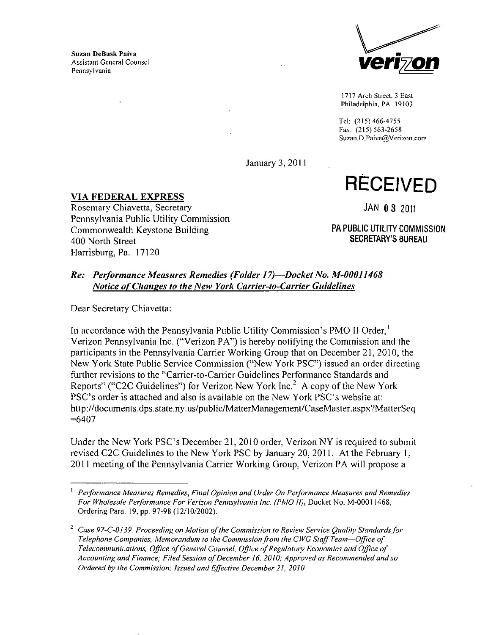Suzan DeBusk Paiva Assistant General Counsel



1717 Arch Street 3 East Philadelphia, PA 19103

Tel: (215)466-4755 Fax: (215) 563-2658 Suzan.D.Paiva@Verizon.com

**January 3, 2011** 

**RECEIVED** 

**VIA FEDERAL EXPRESS** Rosemary Chiavetta, Secretary Pennsylvania Public Utility Commission Commonwealth Keystone Building 400 North Street Harrisburg, Pa. 17120

JAN 0 3 2011

PA PUBLIC UTILITY COMMISSION SECRETARY'S BUREAU

## *Re: Performance Measures Remedies (Folder J 7)—Docket No. M-00011468 Notice of Changes to the New York Carrier-to-Carrier Guidelines*

Dear Secretary Chiavetta:

In accordance with the Pennsylvania Public Utility Commission's PMO II Order,' Verizon Pennsylvania Inc. ("Verizon PA") is hereby notifying the Commission and the participants in the Pennsylvania Carrier Working Group that on December 21, 2010, the New York State Public Service Commission ("New York PSC") issued an order directing further revisions to the "Carrier-to-Carrier Guidelines Performance Standards and Reports" ("C2C Guidelines") for Verizon New York Inc.<sup>2</sup> A copy of the New York PSC's order is attached and also is available on the New York PSC's website at: http://documents.dps.state.ny.us/public/MatterManagement/CaseMaster.aspx7MatterSeq  $=6407$ 

Under the New York PSC's December 21, 2010 order, Verizon NY is required to submit revised C2C Guidelines to the New York PSC by January 20. 2011. At the February 1, 2011 meeting of the Pennsylvania Carrier Working Group. Verizon PA will propose a

<sup>1</sup> Performance Measures Remedies, Final Opinion and Order On Performance Measures and Remedies For Wholesale Performance For Verizon Pennsylvania Inc. (PMO fl). Docket No. M-00011468. Ordering Para. 19, pp. 97-98 (12/10/2002).

*<sup>2</sup> Case 97-C-0I39, Proceeding on Motion of the Commission to Review Sen-ice Qualify Standards for Telephone Companies, Memorandum to the Commission from the CWC Staff Team—Office of Telecommunications, Office of General Counsel, Office of Regulatory Economics and Office of Accounting and Finance; Filed Session of December 16, 2010; Approved as Recommended and so Ordered by the Commission; Issued and Effective December 21, 2010.*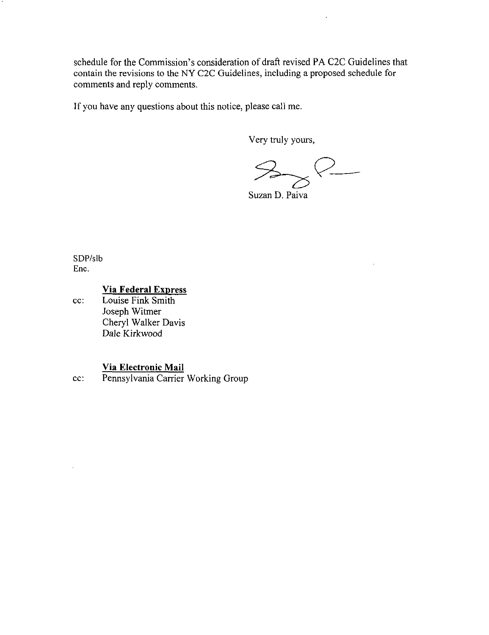schedule for the Commission's consideration of draft revised PA C2C Guidelines that contain the revisions to the NY C2C Guidelines, including a proposed schedule for comments and reply comments.

If you have any questions about this notice, please call me.

Very truly yours.

 $\frac{1}{2}$ SS-

Suzan D. Paiva

SDP/slb Enc.

### **Via Federal Express**

cc: Louise Fink Smith Joseph Witmer Cheryl Walker Davis Dale Kirkwood

## **Via Electronic Mail**

cc: Pennsylvania Carrier Working Group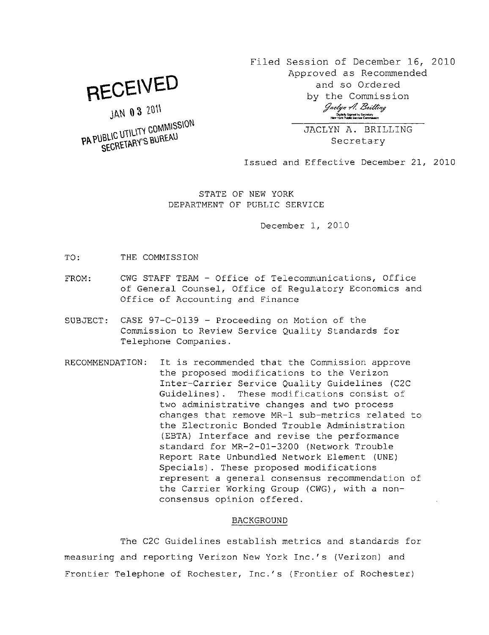**BECEWEO** 

JAN 03 2011

**PA PUBLIC UTILITY COMMISSION**<br>SECRETARY'S BUREAU

Filed Session of December 16, 2010 Approved as Recommended and so Ordered by the Commission Jaclyn A. Brilling gr<br>Digitally Signed by Secretary<br>New York Public Service Commosor

> JACLYN A. BRILLING **Secretary**

Issued and Effective December 21, 2010

STATE OF NEW YORK DEPARTMENT OF PUBLIC SERVICE

December 1, 2010

TO: THE COMMISSION

- FROM: CWG STAFF TEAM Office of Telecommunications, Office of General Counsel, Office of Regulatory Economics and Office of Accounting and Finance
- SUBJECT: CASE  $97-C-0139$  Proceeding on Motion of the Commission to Review Service Quality Standards for Telephone Companies.
- RECOMMENDATION: It is recommended that the Commission approve the proposed modifications to the Verizon Inter-Carrier Service Quality Guidelines (C2C Guidelines). These modifications consist of two administrative changes and two process changes that remove MR-1 sub-metrics related to the Electronic Bonded Trouble Administration (EBTA) Interface and revise the performance standard for MR-2-01-3200 (Network Trouble Report Rate Unbundled Network Element (UNE) Specials). These proposed modifications represent a general consensus recommendation of the Carrier Working Group (CWG), with a nonconsensus opinion offered.

#### BACKGROUND

The C2C Guidelines establish metrics and standards for measuring and reporting Verizon New York Inc.'s (Verizon) and Frontier Telephone of Rochester, Inc.'s (Frontier of Rochester)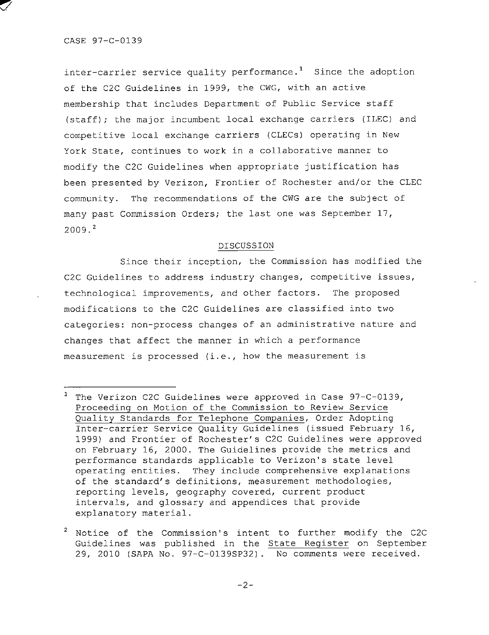inter-carrier service quality performance.<sup>1</sup> Since the adoption of the C2C Guidelines in 1999, the CWG, with an active membership that includes Department of Public Service staff (staff); the major incumbent local exchange carriers (ILEC) and competitive local exchange carriers (CLECs) operating in New York State, continues to work in a collaborative manner to modify the C2C Guidelines when appropriate justification has been presented by Verizon, Frontier of Rochester and/or the CLEC community. The recommendations of the CWG are the subject of many past Commission Orders; the last one was September  $17$ ,  $2009.<sup>2</sup>$ 

#### DISCUSSION

Since their inception, the Commission has modified the C2C Guidelines to address industry changes, competitive issues, technological improvements, and other factors. The proposed modifications to the C2C Guidelines are classified into two categories: non-process changes of an administrative nature and changes that affect the manner in which a performance measurement is processed (i.e., how the measurement is

2 Notice of the Commission's intent to further modify the C2C Guidelines was published in the State Register on September 29, 2010 (SAPA No. 97-C-0139SP32). No comments were received .

 $^{\prime}$  The Verizon C2C Guidelines were approved in Case 97-C-0139, Proceeding on Motion of the Commission to Review Service Quality Standards for Telephone Companies, Order Adopting Inter-carrier Service Quality Guidelines (issued February 16, 1999) and Frontier of Rochester's C2C Guidelines were approved on February 16, 2000. The Guidelines provide the metrics and performance standards applicable to Verizon's state level operating entities. They include comprehensive explanations of the standard's definitions, measurement methodologies, reporting levels, geography covered, current product intervals, and glossary and appendices that provide explanatory material.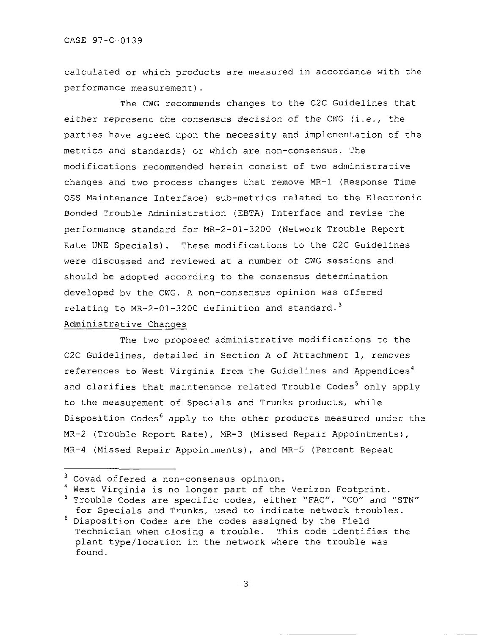calculated or which products are measured in accordance with the performance measurement).

The CWG recommends changes to the C2C Guidelines that either represent the consensus decision of the CWG (i.e., the parties have agreed upon the necessity and implementation of the metrics and standards) or which are non-consensus. The modifications recommended herein consist of two administrative changes and two process changes that remove MR-1 (Response Time OSS Maintenance Interface) sub-metrics related to the Electronic Bonded Trouble Administration (EBTA) Interface and revise the performance standard for MR-2-01-3200 (Network Trouble Report Rate UNE Specials). These modifications to the C2C Guidelines were discussed and reviewed at a number of CWG sessions and should be adopted according to the consensus determination developed by the CWG. A non-consensus opinion was offered relating to  $MR-2-01-3200$  definition and standard.<sup>3</sup> Administrative Changes

The two proposed administrative modifications to the C2C Guidelines, detailed in Section A of Attachment 1, removes references to West Virginia from the Guidelines and Appendices<sup>4</sup> and clarifies that maintenance related Trouble Codes<sup>5</sup> only apply to the measurement of Specials and Trunks products, while Disposition Codes<sup>6</sup> apply to the other products measured under the MR-2 (Trouble Report Rate), MR-3 (Missed Repair Appointments), MR-4 (Missed Repair Appointments), and MR-5 (Percent Repeat

<sup>4</sup> West Virginia is no longer part of the Verizon Footprint.

 $3$  Covad offered a non-consensus opinion.

<sup>&</sup>lt;sup>5</sup> Trouble Codes are specific codes, either "FAC", "CO" and "STN" for Specials and Trunks, used to indicate network troubles.

 $6$  Disposition Codes are the codes assigned by the Field Technician when closing a trouble. This code identifies the plant type/location in the network where the trouble was found.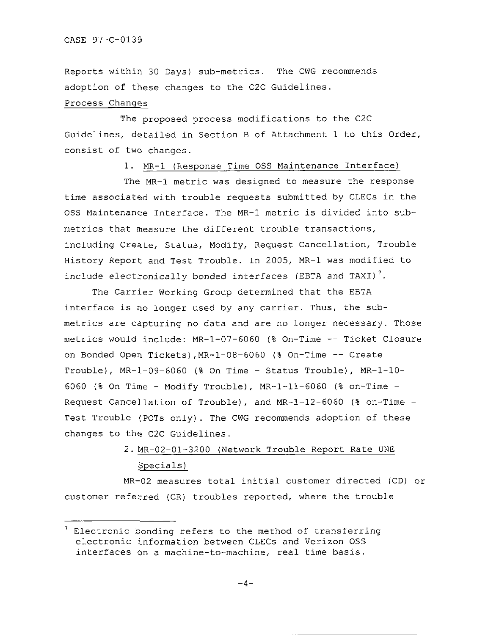Reports within 30 Days) sub-metrics. The CWG recommends adoption of these changes to the C2C Guidelines.

## Process Changes

The proposed process modifications to the C2C Guidelines, detailed in Section B of Attachment 1 to this Order, consist of two changes.

1. MR-1 (Response Time OSS Maintenance Interface)

The MR-1 metric was designed to measure the response time associated with trouble requests submitted by CLECs in the OSS Maintenance Interface. The MR-1 metric is divided into submetrics that measure the different trouble transactions, including Create, Status, Modify, Request Cancellation, Trouble History Report and Test Trouble. In 2005, MR-1 was modified to include electronically bonded interfaces (EBTA and TAXI)<sup>7</sup>.

The Carrier Working Group determined that the EBTA interface is no longer used by any carrier. Thus, the submetrics are capturing no data and are no longer necessary. Those metrics would include: MR-1-07-6060 (% On-Time -- Ticket Closure on Bonded Open Tickets), MR-1-08-6060 (% On-Time -- Create Trouble),  $MR-1-09-6060$  (% On Time - Status Trouble),  $MR-1-10-$ 6060 (% On Time - Modify Trouble),  $MR-1-11-6060$  (% on-Time -Request Cancellation of Trouble), and  $MR-1-12-6060$  (% on-Time -Test Trouble (POTs only). The CWG recommends adoption of these changes to the C2C Guidelines.

## 2. MR-02-01-3200 (Network Trouble Report Rate UNE Specials )

MR-02 measures total initial customer directed (CD) or customer referred (CR) troubles reported, where the trouble

 $<sup>7</sup>$  Electronic bonding refers to the method of transferring</sup> electronic information between CLECs and Verizon OSS interfaces on a machine-to-machine, real time basis.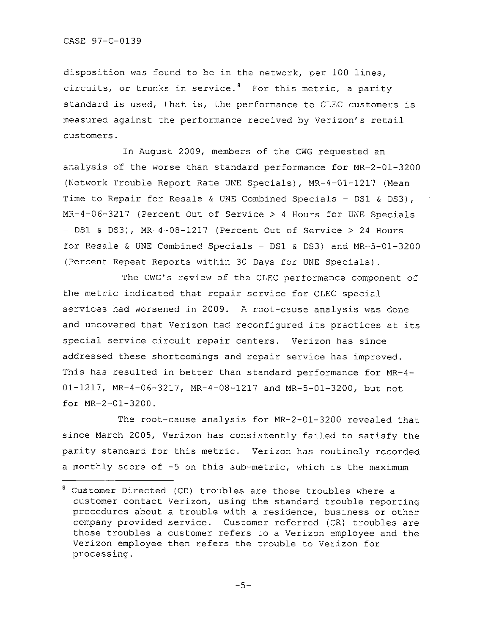disposition was found to be in the network, per 100 lines, circuits, or trunks in service.<sup>8</sup> For this metric, a parity standard is used, that is, the performance to CLEC customers is measured against the performance received by Verizon's retail customers.

In August 2009, members of the CWG requested an analysis of the worse than standard performance for MR-2-01-3200 (Network Trouble Report Rate UNE Specials), MR-4-01-1217 (Mean Time to Repair for Resale & UNE Combined Specials - DS1 & DS3),  $MR-4-06-3217$  (Percent Out of Service > 4 Hours for UNE Specials  $-$  DS1 & DS3), MR-4-08-1217 (Percent Out of Service  $>$  24 Hours for Resale & UNE Combined Specials - DS1 & DS3) and  $MR-5-01-3200$ (Percent Repeat Reports within 30 Days for UNE Specials).

The CWG's review of the CLEC performance component of the metric indicated that repair service for CLEC special services had worsened in 2009. A root-cause analysis was done and uncovered that Verizon had reconfigured its practices at its special service circuit repair centers. Verizon has since addressed these shortcomings and repair service has improved. This has resulted in better than standard performance for MR-4-01-1217, MR-4-06-3217, MR-4-08-1217 and MR-5-01-3200, but not for  $MR-2-01-3200$ .

The root-cause analysis for MR-2-01-3200 revealed that since March 2005, Verizon has consistently failed to satisfy the parity standard for this metric. Verizon has routinely recorded a monthly score of  $-5$  on this sub-metric, which is the maximum

 $8$  Customer Directed (CD) troubles are those troubles where a customer contact Verizon, using the standard trouble reporting procedures about a trouble with a residence, business or other company provided service. Customer referred (CR) troubles are those troubles a customer refers to a Verizon employee and the Verizon employee then refers the trouble to Verizon for processing .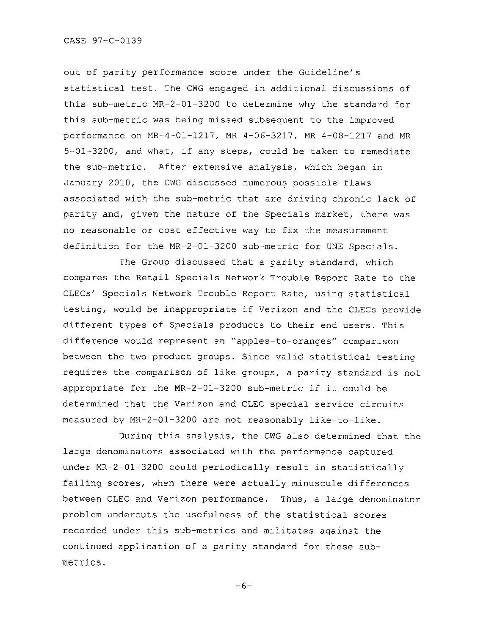out of parity performance score under the Guideline's statistical test. The CWG engaged in additional discussions of this sub-metric MR-2-01-3200 to determine why the standard for this sub-metric was being missed subsequent to the improved performance on MR-4-01-1217, MR 4-06-3217, MR 4-08-1217 and MR 5-01-3200, and what, if any steps, could be taken to remediate the sub-metric. After extensive analysis, which began in January 2010, the CWG discussed numerous possible flaws associated with the sub-metric that are driving chronic lack of parity and, given the nature of the Specials market, there was no reasonable or cost effective way to fix the measurement definition for the MR-2-01-3200 sub-metric for UNE Specials.

The Group discussed that a parity standard, which compares the Retail Specials Network Trouble Report Rate to the CLECs' Specials Network Trouble Report Rate, using statistical testing, would be inappropriate if Verizon and the CLECs provide different types of Specials products to their end users. This difference would represent an "apples-to-oranges" comparison between the two product groups. Since valid statistical testing requires the comparison of like groups, a parity standard is not appropriate for the MR-2-01-3200 sub-metric if it could be determined that the Verizon and CLEC special service circuits measured by MR-2-01-3200 are not reasonably like-to-like.

During this analysis, the CWG also determined that the large denominators associated with the performance captured under MR-2-01-3200 could periodically result in statistically failing scores, when there were actually minuscule differences between CLEC and Verizon performance. Thus, a large denominator problem undercuts the usefulness of the statistical scores recorded under this sub-metrics and militates against the continued application of a parity standard for these submetrics.

-6-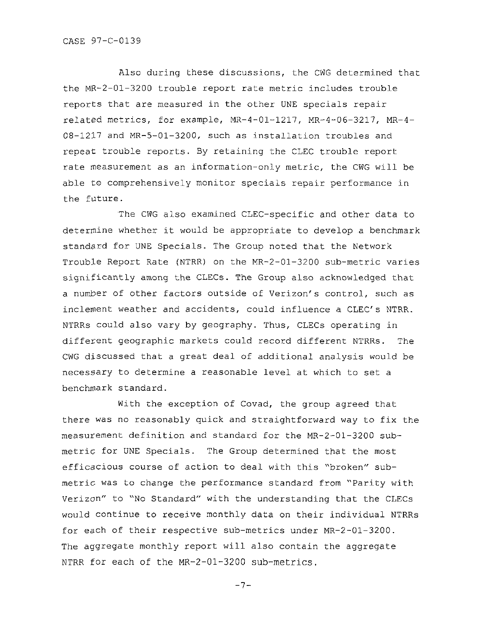Also during these discussions, the CWG determined that the MR-2-01-3200 trouble report rate metric includes trouble reports that are measured in the other UNE specials repair related metrics, for example, MR-4-01-1217, MR-4-06-3217, MR-4-08-1217 and MR-5-01-3200, such as installation troubles and repeat trouble reports. By retaining the CLEC trouble report rate measurement as an information-only metric, the CWG will be able to comprehensively monitor specials repair performance in the future.

The CWG also examined CLEC-specific and other data to determine whether it would be appropriate to develop a benchmark standard for UNE Specials. The Group noted that the Network Trouble Report Rate (NTRR) on the MR-2-01-3200 sub-metric varies significantly among the CLECs. The Group also acknowledged that a number of other factors outside of Verizon's control, such as inclement weather and accidents, could influence a CLEC's NTRR. NTRRs could also vary by geography. Thus, CLECs operating in different geographic markets could record different NTRRs. The CWG discussed that a great deal of additional analysis would be necessary to determine a reasonable level at which to set a benchmark standard .

With the exception of Covad, the group agreed that there was no reasonably quick and straightforward way to fix the measurement definition and standard for the MR-2-01-3200 submetric for UNE Specials. The Group determined that the most efficacious course of action to deal with this "broken" submetric was to change the performance standard from "Parity with Verizon" to "No Standard" with the understanding that the CLECs would continue to receive monthly data on their individual NTRRs for each of their respective sub-metrics under MR-2-01-3200. The aggregate monthly report will also contain the aggregate NTRR for each of the  $MR-2-01-3200$  sub-metrics.

$$
-7 \\ -
$$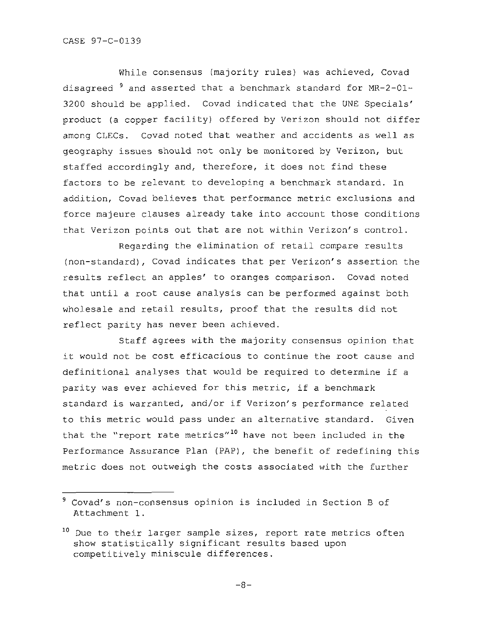While consensus (majority rules) was achieved, Covad disagreed  $^{\texttt{9}}$  and asserted that a benchmark standard for MR-2-01· 3200 should be applied. Covad indicated that the UNE Specials' product (a copper facility) offered by Verizon should not differ among CLECs. Covad noted that weather and accidents as well as geography issues should not only be monitored by Verizon, but staffed accordingly and, therefore, it does not find these factors to be relevant to developing a benchmark standard. In addition, Covad believes that performance metric exclusions and force majeure clauses already take into account those conditions that Verizon points out that are not within Verizon's control.

Regarding the elimination of retail compare results (non-standard), Covad indicates that per Verizon's assertion the results reflect an apples' to oranges comparison. Covad noted that until a root cause analysis can be performed against both wholesale and retail results, proof that the results did not reflect parity has never been achieved.

Staff agrees with the majority consensus opinion that it would not be cost efficacious to continue the root cause and definitional analyses that would be required to determine if a parity was ever achieved for this metric, if a benchmark standard is warranted, and/or if Verizon's performance related to this metric would pass under an alternative standard. Given that the "report rate metrics"<sup>10</sup> have not been included in the Performance Assurance Plan (PAP), the benefit of redefining this metric does not outweigh the costs associated with the further

 $9$  Covad's non-consensus opinion is included in Section B of Attachment 1.

 $10$  Due to their larger sample sizes, report rate metrics often show statistically significant results based upon competitively miniscule differences.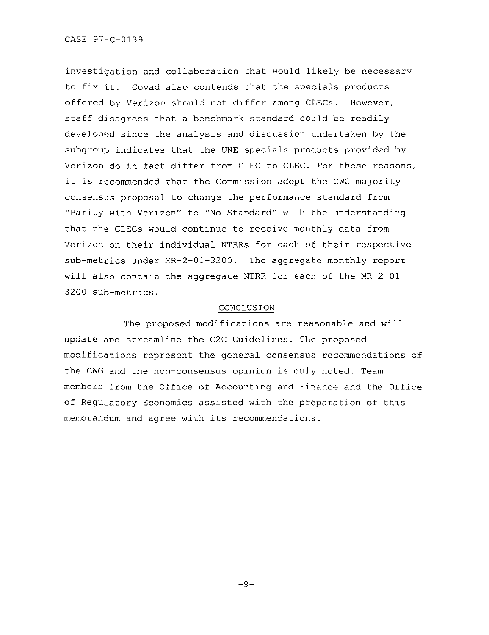investigation and collaboration that would likely be necessary to fix it. Covad also contends that the specials products offered by Verizon should not differ among CLECs. However, staff disagrees that a benchmark standard could be readily developed since the analysis and discussion undertaken by the subgroup indicates that the UNE specials products provided by Verizon do in fact differ from CLEC to CLEC. For these reasons, it is recommended that the Commission adopt the CWG majority consensus proposal to change the performance standard from "Parity with Verizon" to "No Standard" with the understanding that the CLECs would continue to receive monthly data from Verizon on their individual NTRRs for each of their respective  $sub-metrics$  under  $MR-2-01-3200$ . The aggregate monthly report will also contain the aggregate NTRR for each of the MR-2-01-3200 sub-metrics .

#### CONCLUSION

The proposed modifications are reasonable and will update and streamline the C2C Guidelines. The proposed modifications represent the general consensus recommendations of the CWG and the non-consensus opinion is duly noted. Team members from the Office of Accounting and Finance and the Office of Regulatory Economics assisted with the preparation of this memorandum and agree with its recommendations.

 $-9-$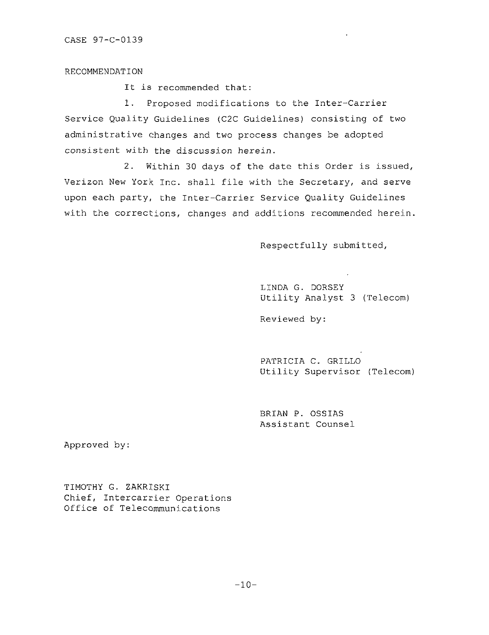#### RECOMMENDATION

It is recommended that:

1. Proposed modifications to the Inter-Carrier Service Quality Guidelines (C2C Guidelines) consisting of two administrative changes and two process changes be adopted consistent with the discussion herein.

2. Within 30 days of the date this Order is issued, Verizon New York Inc. shall file with the Secretary, and serve upon each party, the Inter-Carrier Service Quality Guidelines with the corrections, changes and additions recommended herein.

Respectfully submitted,

LINDA G. DORSEY Utility Analyst 3 (Telecom)

Reviewed by:

PATRICIA C. GRILLO Utility Supervisor (Telecom)

BRIAN P. OSSIAS Assistant Counsel

Approved by:

TIMOTHY G. ZAKRISKI Chief, Intercarrier Operations Office of Telecommunications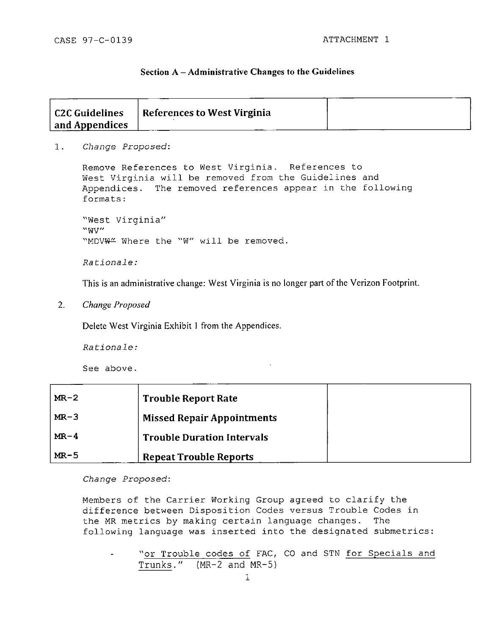#### **Section A - Administrative Changes to the Guidelines**

| <b>C2C Guidelines</b> | References to West Virginia |  |
|-----------------------|-----------------------------|--|
| and Appendices        |                             |  |

1. *Change Proposed:* 

Remove References to West Virginia. References to West Virginia will be removed from the Guidelines and Appendices. The removed references appear in the following formats:

"West Virginia" "WV"<br>"MDV<del>W"</del> Where the "W" will be removed.

Rationale:

This is an administrative change: West Virginia is no longer part of the Verizon Footprint. *This is an administrative change: West Virginia is no longer part ofthe Verizon Footprint.* 

 $2.$ Change Proposed *2. Change Proposed* 

Delete West Virginia Exhibit 1 from the Appendices.

Rationale:

See above.

| $MR-2$ | <b>Trouble Report Rate</b>        |  |
|--------|-----------------------------------|--|
| $MR-3$ | <b>Missed Repair Appointments</b> |  |
| $MR-4$ | <b>Trouble Duration Intervals</b> |  |
| $MR-5$ | <b>Repeat Trouble Reports</b>     |  |

*Change Proposed:* 

Members of the Carrier Working Group agreed to clarify the difference between Disposition Codes versus Trouble Codes in the MR metrics by making certain language changes. The following language was inserted into the designated submetrics:

"or Trouble codes of FAC, CO and STN for Specials and Trunks." (MR-2 and MR-5)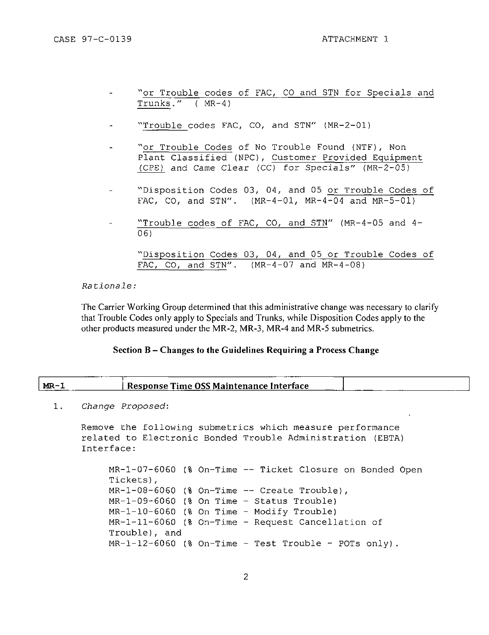- "or Trouble codes of FAC, CO and STN for Specials and Trunks." ( MR-4)
- "Trouble codes FAC, CO, and STN" (MR-2-01)
- "or Trouble Codes of No Trouble Found (NTF), Non Plant Classified (NPC), Customer Provided Equipment (CPE) and Came Clear (CC) for Specials" (MR-2-05)
- "Disposition Codes 03, 04, and 05 or Trouble Codes of FAC, CO, and STN".  $(MR-4-01, MR-4-04, and MR-5-01)$
- "Trouble codes of FAC, CO, and STN" (MR-4-05 and 4- 06)

```
"Disposition Codes 03, 04, and 05 or Trouble Codes of
FAC, CO, and STN". (MR-4-07 and MR-4-08)
```
#### Rationale :

The Carrier Working Group determined that this administrative change was necessary to clarify that Trouble Codes only apply to Specials and Trunks, while Disposition Codes apply to the other products measured under the MR-2. MR-3, MR-4 and MR-5 submetrics.

#### **Section B - Changes to the Guidelines Requiring a Process Change**

| MR- |                                 | Response Time OSS Maintenance Interface |  |
|-----|---------------------------------|-----------------------------------------|--|
|     |                                 |                                         |  |
|     | $C_{n}$ and $D_{n}$ and $D_{n}$ |                                         |  |

1. Change Proposed:

```
Remove the following submetrics which measure performance
related to Electronic Bonded Trouble Administration (EBTA)
Interface :
```

```
MR-1-07-6060 (% On-Time -- Ticket Closure on Bonded Open
Tickets) i
MR-1-08-6060 (% On-Time -- Create Trouble),
MR-1-09-6060 (% On Time - Status Trouble)
MR-1-10-6060 % On Time - Modify Trouble) 
MR-1-11-6060 (% On-Time - Request Cancellation of
Trouble) , and 
MR-1-12-6060 (% On-Time - Test Trouble - POTs only).
```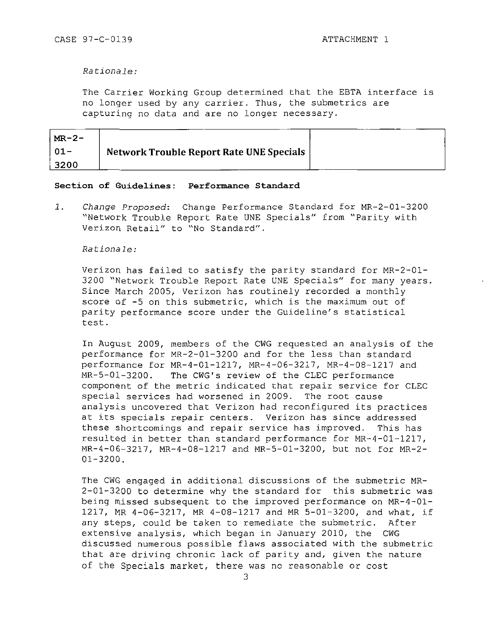#### *Rationale:*

The Carrier Working Group determined that the EBTA interface is no longer used by any carrier. Thus, the submetrics are capturing no data and are no longer necessary.

| $M_{\rm R}$ – 2 – |                                          |  |
|-------------------|------------------------------------------|--|
|                   | Network Trouble Report Rate UNE Specials |  |
| 3200              |                                          |  |

#### **Section of Guidelines: Performance Standard**

1. Change Proposed: Change Performance Standard for MR-2-01-3200 "Network Trouble Report Rate UNE Specials" from "Parity with Verizon Retail" to "No Standard".

#### Rationale :

Verizon has failed to satisfy the parity standard for MR-2-01-3200 "Network Trouble Report Rate UNE Specials" for many years. Since March 2005, Verizon has routinely recorded a monthly score of -5 on this submetric, which is the maximum out of parity performance score under the Guideline's statistical test .

In August 2009, members of the CWG requested an analysis of the performance for  $MR-2-01-3200$  and for the less than standard performance for MR-4-01-1217, MR-4-06-3217, MR-4-08-1217 and MR-5-01-3200. The CWG's review of the CLEC performance component of the metric indicated that repair service for CLEC special services had worsened in 2009. The root cause analysis uncovered that Verizon had reconfigured its practices at its specials repair centers. Verizon has since addressed these shortcomings and repair service has improved. This has resulted in better than standard performance for  $MR-4-01-1217$ , MR-4-06-3217, MR-4-08-1217 and MR-5-01-3200, but not for MR-2-01-3200.

The CWG engaged in additional discussions of the submetric MR-2-01-3200 to determine why the standard for this submetric was being missed subsequent to the improved performance on MR-4-01-1217, MR 4-06-3217, MR 4-08-1217 and MR 5-01-3200, and what, if any steps, could be taken to remediate the submetric. After extensive analysis, which began in January 2010, the CWG discussed numerous possible flaws associated with the submetric that are driving chronic lack of parity and, given the nature of the Specials market, there was no reasonable or cost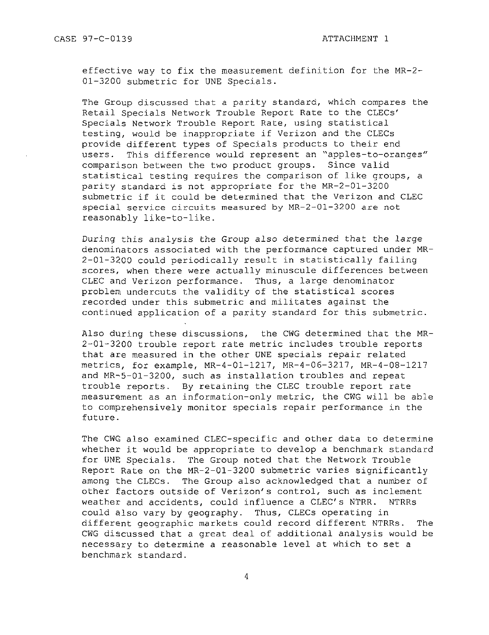effective way to fix the measurement definition for the MR-2-01-3200 submetric for UNE Specials.

The Group discussed that a parity standard, which compares the Retail Specials Network Trouble Report Rate to the CLECs' Specials Network Trouble Report Rate, using statistical testing, would be inappropriate if Verizon and the CLECs provide different types of Specials products to their end users. This difference would represent an "apples-to-oranges"<br>comparison between the two product groups. Since valid comparison between the two product groups. statistical testing requires the comparison of like groups, a parity standard is not appropriate for the  $MR-2-01-3200$ submetric if it could be determined that the Verizon and CLEC special service circuits measured by MR-2-01-3200 are not reasonably like-to-like.

During this analysis the Group also determined that the large denominators associated with the performance captured under MR- $2-01-3200$  could periodically result in statistically failing scores, when there were actually minuscule differences between CLEC and Verizon performance. Thus, a large denominator problem undercuts the validity of the statistical scores recorded under this submetric and militates against the continued application of a parity standard for this submetric.

Also during these discussions, the CWG determined that the  $MR-$ 2-01-3200 trouble report rate metric includes trouble reports that are measured in the other UNE specials repair related metrics, for example, MR-4-01-1217, MR-4-06-3217, MR-4-08-1217 and MR-5-01-3200, such as installation troubles and repeat trouble reports. By retaining the CLEC trouble report rate measurement as an information-only metric, the CWG will be able to comprehensively monitor specials repair performance in the future .

The CWG also examined CLEC-specific and other data to determine whether it would be appropriate to develop a benchmark standard for UNE Specials. The Group noted that the Network Trouble Report Rate on the MR-2-01-3200 submetric varies significantly among the CLECs. The Group also acknowledged that a number of other factors outside of Verizon's control, such as inclement weather and accidents, could influence a CLEC's NTRR. NTRRs could also vary by geography. Thus, CLECs operating in different geographic markets could record different NTRRs. The CWG discussed that a great deal of additional analysis would be necessary to determine a reasonable level at which to set a benchmark standard .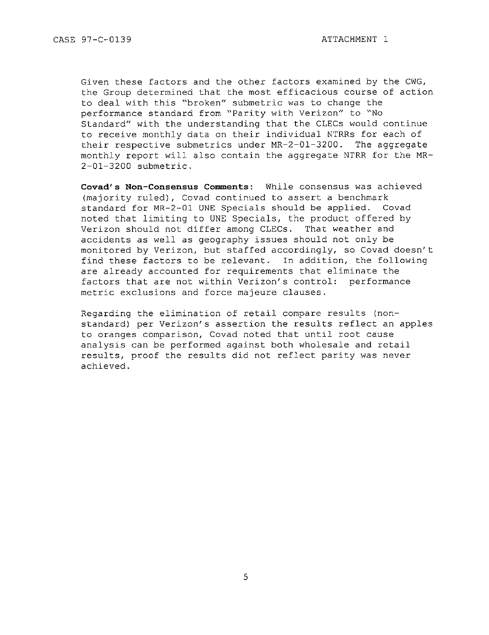Given these factors and the other factors examined by the CWG, the Group determined that the most efficacious course of action to deal with this "broken" submetric was to change the performance standard from "Parity with Verizon" to "No Standard" with the understanding that the CLECs would continue to receive monthly data on their individual NTRRs for each of their respective submetrics under  $MR-2-01-3200$ . The aggregate monthly report will also contain the aggregate NTRR for the MR-2-01-3200 submetric .

Covad's Non-Consensus Comments: While consensus was achieved (majority ruled), Covad continued to assert a benchmark standard for MR-2-01 UNE Specials should be applied. Covad noted that limiting to UNE Specials, the product offered by Verizon should not differ among CLECs. That weather and accidents as well as geography issues should not only be monitored by Verizon, but staffed accordingly, so Covad doesn't find these factors to be relevant. In addition, the following are already accounted for requirements that eliminate the factors that are not within Verizon's control: performance metric exclusions and force majeure clauses.

Regarding the elimination of retail compare results (nonstandard) per Verizon's assertion the results reflect an apples to oranges comparison, Covad noted that until root cause analysis can be performed against both wholesale and retail results, proof the results did not reflect parity was never achieved .